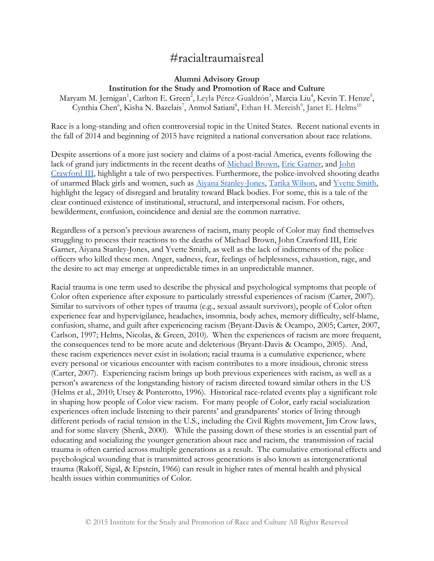# #racialtraumaisreal

## **Alumni Advisory Group Institution for the Study and Promotion of Race and Culture**

Maryam M. Jernigan<sup>1</sup>, Carlton E. Green<sup>2</sup>, Leyla Pérez-Gualdrón<sup>3</sup>, Marcia Liu<sup>4</sup>, Kevin T. Henze<sup>5</sup>, Cynthia Chen<sup>6</sup>, Kisha N. Bazelais<sup>7</sup>, Anmol Satiani<sup>8</sup>, Ethan H. Mereish<sup>9</sup>, Janet E. Helms<sup>10</sup>

Race is a long-standing and often controversial topic in the United States. Recent national events in the fall of 2014 and beginning of 2015 have reignited a national conversation about race relations.

Despite assertions of a more just society and claims of a post-racial America, events following the lack of grand jury indictments in the recent deaths of [Michael Brown,](http://www.nbcnews.com/storyline/michael-brown-shooting/ferguson-cop-darren-wilson-not-indicted-shooting-michael-brown-n255391) [Eric Garner,](http://abcnews.go.com/US/nypd-officer-indicted-eric-garner-choke-hold-death/story?id=27341079) and [John](http://www.washingtonpost.com/news/post-nation/wp/2014/09/24/no-indictments-after-police-shoot-and-kill-man-at-an-ohio-wal-mart-justice-dept-launches-investigation/)  [Crawford III,](http://www.washingtonpost.com/news/post-nation/wp/2014/09/24/no-indictments-after-police-shoot-and-kill-man-at-an-ohio-wal-mart-justice-dept-launches-investigation/) highlight a tale of two perspectives. Furthermore, the police-involved shooting deaths of unarmed Black girls and women, such as [Aiyana Stanley-Jones,](http://www.huffingtonpost.com/2015/01/28/joseph-weekley-charges-dismissed-aiyana-stanley-jones_n_6566032.html) [Tarika Wilson,](http://graphics8.nytimes.com/images/2008/01/30/us/30limaMUG.190.jpg) and [Yvette Smith,](http://kxan.com/2014/03/12/autopsy-report-indicates-yvette-smith-was-shot-twice-by-deputy/) highlight the legacy of disregard and brutality toward Black bodies. For some, this is a tale of the clear continued existence of institutional, structural, and interpersonal racism. For others, bewilderment, confusion, coincidence and denial are the common narrative.

Regardless of a person's previous awareness of racism, many people of Color may find themselves struggling to process their reactions to the deaths of Michael Brown, John Crawford III, Eric Garner, Aiyana Stanley-Jones, and Yvette Smith, as well as the lack of indictments of the police officers who killed these men. Anger, sadness, fear, feelings of helplessness, exhaustion, rage, and the desire to act may emerge at unpredictable times in an unpredictable manner.

Racial trauma is one term used to describe the physical and psychological symptoms that people of Color often experience after exposure to particularly stressful experiences of racism (Carter, 2007). Similar to survivors of other types of trauma (e.g., sexual assault survivors), people of Color often experience fear and hypervigilance, headaches, insomnia, body aches, memory difficulty, self-blame, confusion, shame, and guilt after experiencing racism (Bryant-Davis & Ocampo, 2005; Carter, 2007, Carlson, 1997; Helms, Nicolas, & Green, 2010). When the experiences of racism are more frequent, the consequences tend to be more acute and deleterious (Bryant-Davis & Ocampo, 2005). And, these racism experiences never exist in isolation; racial trauma is a cumulative experience, where every personal or vicarious encounter with racism contributes to a more insidious, chronic stress (Carter, 2007). Experiencing racism brings up both previous experiences with racism, as well as a person's awareness of the longstanding history of racism directed toward similar others in the US (Helms et al., 2010; Utsey & Ponterotto, 1996). Historical race-related events play a significant role in shaping how people of Color view racism. For many people of Color, early racial socialization experiences often include listening to their parents' and grandparents' stories of living through different periods of racial tension in the U.S., including the Civil Rights movement, Jim Crow laws, and for some slavery (Shenk, 2000). While the passing down of these stories is an essential part of educating and socializing the younger generation about race and racism, the transmission of racial trauma is often carried across multiple generations as a result. The cumulative emotional effects and psychological wounding that is transmitted across generations is also known as intergenerational trauma (Rakoff, Sigal, & Epstein, 1966) can result in higher rates of mental health and physical health issues within communities of Color.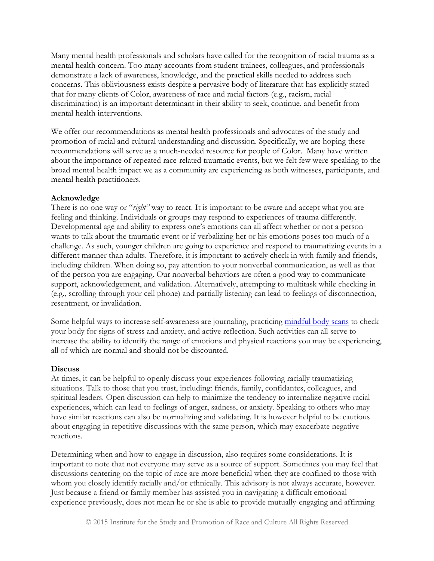Many mental health professionals and scholars have called for the recognition of racial trauma as a mental health concern. Too many accounts from student trainees, colleagues, and professionals demonstrate a lack of awareness, knowledge, and the practical skills needed to address such concerns. This obliviousness exists despite a pervasive body of literature that has explicitly stated that for many clients of Color, awareness of race and racial factors (e.g., racism, racial discrimination) is an important determinant in their ability to seek, continue, and benefit from mental health interventions.

We offer our recommendations as mental health professionals and advocates of the study and promotion of racial and cultural understanding and discussion. Specifically, we are hoping these recommendations will serve as a much-needed resource for people of Color. Many have written about the importance of repeated race-related traumatic events, but we felt few were speaking to the broad mental health impact we as a community are experiencing as both witnesses, participants, and mental health practitioners.

#### **Acknowledge**

There is no one way or "*right"* way to react. It is important to be aware and accept what you are feeling and thinking. Individuals or groups may respond to experiences of trauma differently. Developmental age and ability to express one's emotions can all affect whether or not a person wants to talk about the traumatic event or if verbalizing her or his emotions poses too much of a challenge. As such, younger children are going to experience and respond to traumatizing events in a different manner than adults. Therefore, it is important to actively check in with family and friends, including children. When doing so, pay attention to your nonverbal communication, as well as that of the person you are engaging. Our nonverbal behaviors are often a good way to communicate support, acknowledgement, and validation. Alternatively, attempting to multitask while checking in (e.g., scrolling through your cell phone) and partially listening can lead to feelings of disconnection, resentment, or invalidation.

Some helpful ways to increase self-awareness are journaling, practicing [mindful body scans](http://marc.ucla.edu/mpeg/Body-Scan-Meditation.mp3) to check your body for signs of stress and anxiety, and active reflection. Such activities can all serve to increase the ability to identify the range of emotions and physical reactions you may be experiencing, all of which are normal and should not be discounted.

#### **Discuss**

At times, it can be helpful to openly discuss your experiences following racially traumatizing situations. Talk to those that you trust, including: friends, family, confidantes, colleagues, and spiritual leaders. Open discussion can help to minimize the tendency to internalize negative racial experiences, which can lead to feelings of anger, sadness, or anxiety. Speaking to others who may have similar reactions can also be normalizing and validating. It is however helpful to be cautious about engaging in repetitive discussions with the same person, which may exacerbate negative reactions.

Determining when and how to engage in discussion, also requires some considerations. It is important to note that not everyone may serve as a source of support. Sometimes you may feel that discussions centering on the topic of race are more beneficial when they are confined to those with whom you closely identify racially and/or ethnically. This advisory is not always accurate, however. Just because a friend or family member has assisted you in navigating a difficult emotional experience previously, does not mean he or she is able to provide mutually-engaging and affirming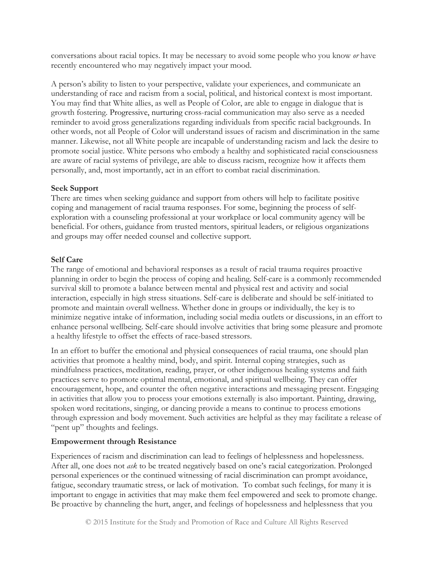conversations about racial topics. It may be necessary to avoid some people who you know *or* have recently encountered who may negatively impact your mood.

A person's ability to listen to your perspective, validate your experiences, and communicate an understanding of race and racism from a social, political, and historical context is most important. You may find that White allies, as well as People of Color, are able to engage in dialogue that is growth fostering. Progressive, nurturing cross-racial communication may also serve as a needed reminder to avoid gross generalizations regarding individuals from specific racial backgrounds. In other words, not all People of Color will understand issues of racism and discrimination in the same manner. Likewise, not all White people are incapable of understanding racism and lack the desire to promote social justice. White persons who embody a healthy and sophisticated racial consciousness are aware of racial systems of privilege, are able to discuss racism, recognize how it affects them personally, and, most importantly, act in an effort to combat racial discrimination.

### **Seek Support**

There are times when seeking guidance and support from others will help to facilitate positive coping and management of racial trauma responses. For some, beginning the process of selfexploration with a counseling professional at your workplace or local community agency will be beneficial. For others, guidance from trusted mentors, spiritual leaders, or religious organizations and groups may offer needed counsel and collective support.

### **Self Care**

The range of emotional and behavioral responses as a result of racial trauma requires proactive planning in order to begin the process of coping and healing. Self-care is a commonly recommended survival skill to promote a balance between mental and physical rest and activity and social interaction, especially in high stress situations. Self-care is deliberate and should be self-initiated to promote and maintain overall wellness. Whether done in groups or individually, the key is to minimize negative intake of information, including social media outlets or discussions, in an effort to enhance personal wellbeing. Self-care should involve activities that bring some pleasure and promote a healthy lifestyle to offset the effects of race-based stressors.

In an effort to buffer the emotional and physical consequences of racial trauma, one should plan activities that promote a healthy mind, body, and spirit. Internal coping strategies, such as mindfulness practices, meditation, reading, prayer, or other indigenous healing systems and faith practices serve to promote optimal mental, emotional, and spiritual wellbeing. They can offer encouragement, hope, and counter the often negative interactions and messaging present. Engaging in activities that allow you to process your emotions externally is also important. Painting, drawing, spoken word recitations, singing, or dancing provide a means to continue to process emotions through expression and body movement. Such activities are helpful as they may facilitate a release of "pent up" thoughts and feelings.

## **Empowerment through Resistance**

Experiences of racism and discrimination can lead to feelings of helplessness and hopelessness. After all, one does not *ask* to be treated negatively based on one's racial categorization. Prolonged personal experiences or the continued witnessing of racial discrimination can prompt avoidance, fatigue, secondary traumatic stress, or lack of motivation. To combat such feelings, for many it is important to engage in activities that may make them feel empowered and seek to promote change. Be proactive by channeling the hurt, anger, and feelings of hopelessness and helplessness that you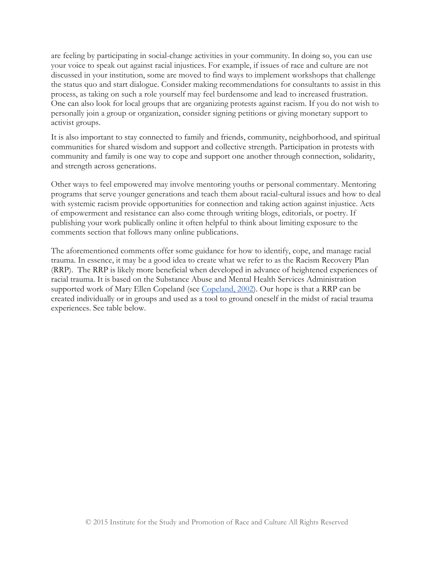are feeling by participating in social-change activities in your community. In doing so, you can use your voice to speak out against racial injustices. For example, if issues of race and culture are not discussed in your institution, some are moved to find ways to implement workshops that challenge the status quo and start dialogue. Consider making recommendations for consultants to assist in this process, as taking on such a role yourself may feel burdensome and lead to increased frustration. One can also look for local groups that are organizing protests against racism. If you do not wish to personally join a group or organization, consider signing petitions or giving monetary support to activist groups.

It is also important to stay connected to family and friends, community, neighborhood, and spiritual communities for shared wisdom and support and collective strength. Participation in protests with community and family is one way to cope and support one another through connection, solidarity, and strength across generations.

Other ways to feel empowered may involve mentoring youths or personal commentary. Mentoring programs that serve younger generations and teach them about racial-cultural issues and how to deal with systemic racism provide opportunities for connection and taking action against injustice. Acts of empowerment and resistance can also come through writing blogs, editorials, or poetry. If publishing your work publically online it often helpful to think about limiting exposure to the comments section that follows many online publications.

The aforementioned comments offer some guidance for how to identify, cope, and manage racial trauma. In essence, it may be a good idea to create what we refer to as the Racism Recovery Plan (RRP). The RRP is likely more beneficial when developed in advance of heightened experiences of racial trauma. It is based on the Substance Abuse and Mental Health Services Administration supported work of Mary Ellen Copeland (see [Copeland, 2002\)](http://store.samhsa.gov/product/Action-Planning-for-Prevention-and-Recovery-A-Self-Help-Guide/SMA-3720). Our hope is that a RRP can be created individually or in groups and used as a tool to ground oneself in the midst of racial trauma experiences. See table below.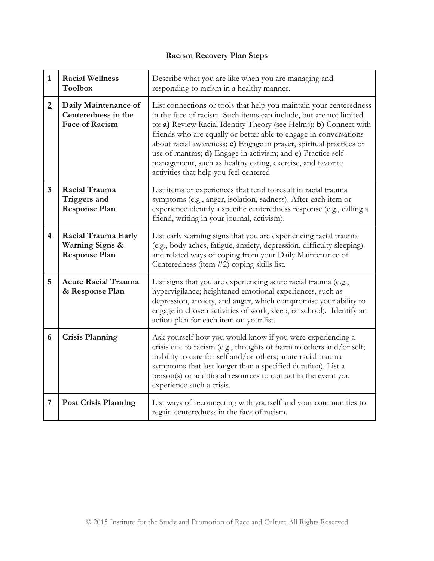## **Racism Recovery Plan Steps**

| $\mathbf{1}$     | <b>Racial Wellness</b><br><b>Toolbox</b>                                  | Describe what you are like when you are managing and<br>responding to racism in a healthy manner.                                                                                                                                                                                                                                                                                                                                                                                                                                 |
|------------------|---------------------------------------------------------------------------|-----------------------------------------------------------------------------------------------------------------------------------------------------------------------------------------------------------------------------------------------------------------------------------------------------------------------------------------------------------------------------------------------------------------------------------------------------------------------------------------------------------------------------------|
| $\overline{2}$   | Daily Maintenance of<br>Centeredness in the<br><b>Face of Racism</b>      | List connections or tools that help you maintain your centeredness<br>in the face of racism. Such items can include, but are not limited<br>to: a) Review Racial Identity Theory (see Helms); b) Connect with<br>friends who are equally or better able to engage in conversations<br>about racial awareness; c) Engage in prayer, spiritual practices or<br>use of mantras; d) Engage in activism; and e) Practice self-<br>management, such as healthy eating, exercise, and favorite<br>activities that help you feel centered |
| $\overline{3}$   | Racial Trauma<br>Triggers and<br><b>Response Plan</b>                     | List items or experiences that tend to result in racial trauma<br>symptoms (e.g., anger, isolation, sadness). After each item or<br>experience identify a specific centeredness response (e.g., calling a<br>friend, writing in your journal, activism).                                                                                                                                                                                                                                                                          |
| $\overline{4}$   | Racial Trauma Early<br><b>Warning Signs &amp;</b><br><b>Response Plan</b> | List early warning signs that you are experiencing racial trauma<br>(e.g., body aches, fatigue, anxiety, depression, difficulty sleeping)<br>and related ways of coping from your Daily Maintenance of<br>Centeredness (item #2) coping skills list.                                                                                                                                                                                                                                                                              |
| $\overline{5}$   | <b>Acute Racial Trauma</b><br>& Response Plan                             | List signs that you are experiencing acute racial trauma (e.g.,<br>hypervigilance; heightened emotional experiences, such as<br>depression, anxiety, and anger, which compromise your ability to<br>engage in chosen activities of work, sleep, or school). Identify an<br>action plan for each item on your list.                                                                                                                                                                                                                |
| $6 \overline{6}$ | <b>Crisis Planning</b>                                                    | Ask yourself how you would know if you were experiencing a<br>crisis due to racism (e.g., thoughts of harm to others and/or self;<br>inability to care for self and/or others; acute racial trauma<br>symptoms that last longer than a specified duration). List a<br>person(s) or additional resources to contact in the event you<br>experience such a crisis.                                                                                                                                                                  |
| $\overline{7}$   | <b>Post Crisis Planning</b>                                               | List ways of reconnecting with yourself and your communities to<br>regain centeredness in the face of racism.                                                                                                                                                                                                                                                                                                                                                                                                                     |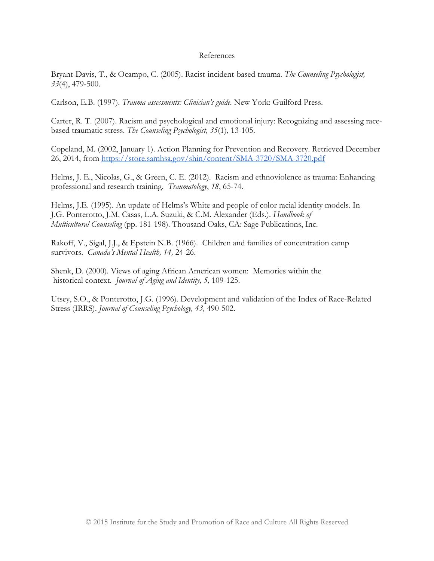#### References

Bryant-Davis, T., & Ocampo, C. (2005). Racist-incident-based trauma. *The Counseling Psychologist, 33*(4), 479-500.

Carlson, E.B. (1997). *Trauma assessments: Clinician's guide.* New York: Guilford Press.

Carter, R. T. (2007). Racism and psychological and emotional injury: Recognizing and assessing racebased traumatic stress. *The Counseling Psychologist, 35*(1), 13-105.

Copeland, M. (2002, January 1). Action Planning for Prevention and Recovery. Retrieved December 26, 2014, from<https://store.samhsa.gov/shin/content/SMA-3720/SMA-3720.pdf>

Helms, J. E., Nicolas, G., & Green, C. E. (2012). Racism and ethnoviolence as trauma: Enhancing professional and research training. *Traumatology*, *18*, 65-74.

Helms, J.E. (1995). An update of Helms's White and people of color racial identity models. In J.G. Ponterotto, J.M. Casas, L.A. Suzuki, & C.M. Alexander (Eds.). *Handbook of Multicultural Counseling* (pp. 181-198). Thousand Oaks, CA: Sage Publications, Inc.

Rakoff, V., Sigal, J.J., & Epstein N.B. (1966). Children and families of concentration camp survivors. *Canada's Mental Health, 14,* 24-26.

Shenk, D. (2000). Views of aging African American women: Memories within the historical context. *Journal of Aging and Identity, 5,* 109-125.

Utsey, S.O., & Ponterotto, J.G. (1996). Development and validation of the Index of Race-Related Stress (IRRS). *Journal of Counseling Psychology, 43,* 490-502.